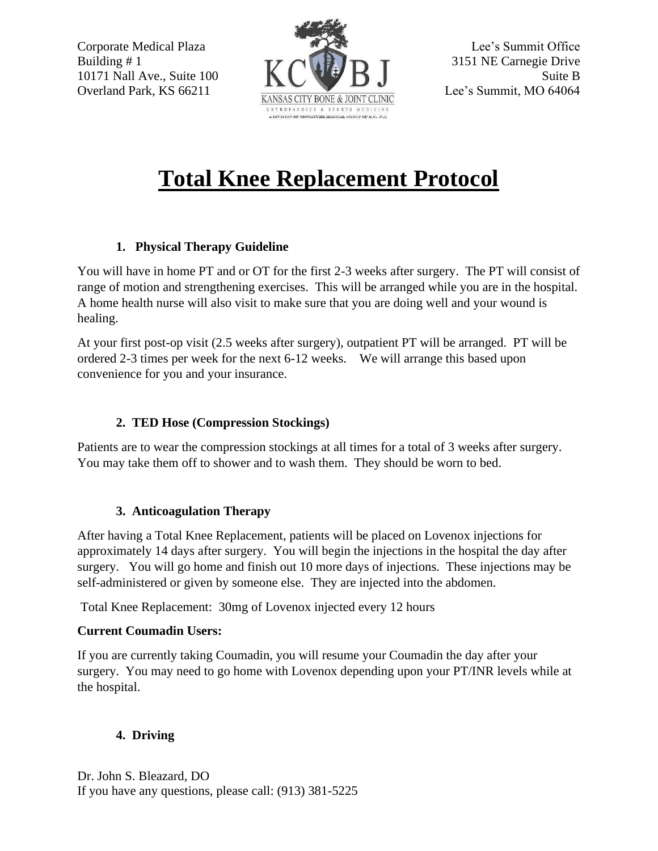

# **Total Knee Replacement Protocol**

### **1. Physical Therapy Guideline**

You will have in home PT and or OT for the first 2-3 weeks after surgery. The PT will consist of range of motion and strengthening exercises. This will be arranged while you are in the hospital. A home health nurse will also visit to make sure that you are doing well and your wound is healing.

At your first post-op visit (2.5 weeks after surgery), outpatient PT will be arranged. PT will be ordered 2-3 times per week for the next 6-12 weeks. We will arrange this based upon convenience for you and your insurance.

## **2. TED Hose (Compression Stockings)**

Patients are to wear the compression stockings at all times for a total of 3 weeks after surgery. You may take them off to shower and to wash them. They should be worn to bed.

# **3. Anticoagulation Therapy**

After having a Total Knee Replacement, patients will be placed on Lovenox injections for approximately 14 days after surgery. You will begin the injections in the hospital the day after surgery. You will go home and finish out 10 more days of injections. These injections may be self-administered or given by someone else. They are injected into the abdomen.

Total Knee Replacement: 30mg of Lovenox injected every 12 hours

### **Current Coumadin Users:**

If you are currently taking Coumadin, you will resume your Coumadin the day after your surgery. You may need to go home with Lovenox depending upon your PT/INR levels while at the hospital.

# **4. Driving**

Dr. John S. Bleazard, DO If you have any questions, please call: (913) 381-5225